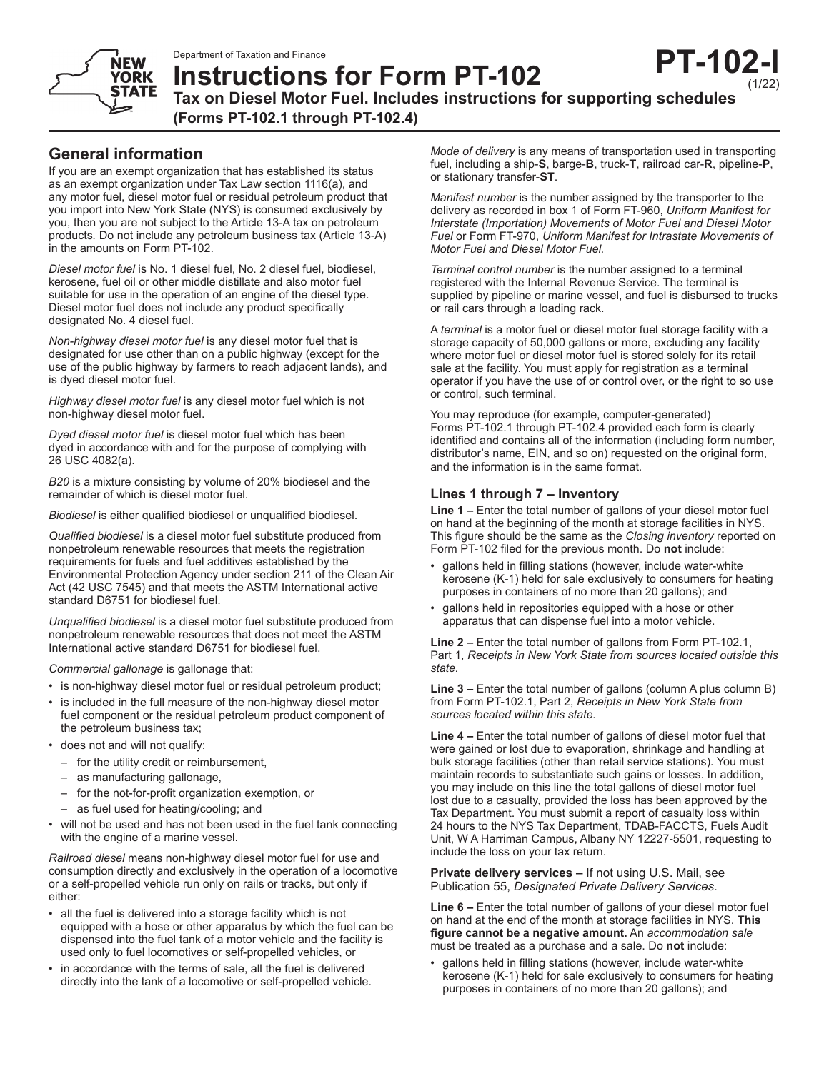

**Instructions for Form PT-102 Tax on Diesel Motor Fuel. Includes instructions for supporting schedules (Forms PT-102.1 through PT-102.4)**

# **General information**

If you are an exempt organization that has established its status as an exempt organization under Tax Law section 1116(a), and any motor fuel, diesel motor fuel or residual petroleum product that you import into New York State (NYS) is consumed exclusively by you, then you are not subject to the Article 13-A tax on petroleum products*.* Do not include any petroleum business tax (Article 13-A) in the amounts on Form PT-102.

*Diesel motor fuel* is No. 1 diesel fuel, No. 2 diesel fuel, biodiesel, kerosene, fuel oil or other middle distillate and also motor fuel suitable for use in the operation of an engine of the diesel type. Diesel motor fuel does not include any product specifically designated No. 4 diesel fuel.

*Non-highway diesel motor fuel* is any diesel motor fuel that is designated for use other than on a public highway (except for the use of the public highway by farmers to reach adjacent lands), and is dyed diesel motor fuel.

*Highway diesel motor fuel* is any diesel motor fuel which is not non-highway diesel motor fuel.

*Dyed diesel motor fuel* is diesel motor fuel which has been dyed in accordance with and for the purpose of complying with 26 USC 4082(a).

*B20* is a mixture consisting by volume of 20% biodiesel and the remainder of which is diesel motor fuel.

*Biodiesel* is either qualified biodiesel or unqualified biodiesel.

*Qualified biodiesel* is a diesel motor fuel substitute produced from nonpetroleum renewable resources that meets the registration requirements for fuels and fuel additives established by the Environmental Protection Agency under section 211 of the Clean Air Act (42 USC 7545) and that meets the ASTM International active standard D6751 for biodiesel fuel.

*Unqualified biodiesel* is a diesel motor fuel substitute produced from nonpetroleum renewable resources that does not meet the ASTM International active standard D6751 for biodiesel fuel.

*Commercial gallonage* is gallonage that:

- is non-highway diesel motor fuel or residual petroleum product;
- is included in the full measure of the non-highway diesel motor fuel component or the residual petroleum product component of the petroleum business tax;
- does not and will not qualify:
	- for the utility credit or reimbursement,
	- as manufacturing gallonage,
	- for the not-for-profit organization exemption, or
	- as fuel used for heating/cooling; and
- will not be used and has not been used in the fuel tank connecting with the engine of a marine vessel.

*Railroad diesel* means non-highway diesel motor fuel for use and consumption directly and exclusively in the operation of a locomotive or a self-propelled vehicle run only on rails or tracks, but only if either:

- all the fuel is delivered into a storage facility which is not equipped with a hose or other apparatus by which the fuel can be dispensed into the fuel tank of a motor vehicle and the facility is used only to fuel locomotives or self-propelled vehicles, or
- in accordance with the terms of sale, all the fuel is delivered directly into the tank of a locomotive or self-propelled vehicle.

*Mode of delivery* is any means of transportation used in transporting fuel, including a ship-**S**, barge-**B**, truck-**T**, railroad car-**R**, pipeline-**P**, or stationary transfer-**ST**.

*Manifest number* is the number assigned by the transporter to the delivery as recorded in box 1 of Form FT-960, *Uniform Manifest for Interstate (Importation) Movements of Motor Fuel and Diesel Motor Fuel* or Form FT-970, *Uniform Manifest for Intrastate Movements of Motor Fuel and Diesel Motor Fuel.*

*Terminal control number* is the number assigned to a terminal registered with the Internal Revenue Service. The terminal is supplied by pipeline or marine vessel, and fuel is disbursed to trucks or rail cars through a loading rack.

A *terminal* is a motor fuel or diesel motor fuel storage facility with a storage capacity of 50,000 gallons or more, excluding any facility where motor fuel or diesel motor fuel is stored solely for its retail sale at the facility. You must apply for registration as a terminal operator if you have the use of or control over, or the right to so use or control, such terminal.

You may reproduce (for example, computer-generated) Forms PT-102.1 through PT-102.4 provided each form is clearly identified and contains all of the information (including form number, distributor's name, EIN, and so on) requested on the original form, and the information is in the same format.

## **Lines 1 through 7 – Inventory**

**Line 1 –** Enter the total number of gallons of your diesel motor fuel on hand at the beginning of the month at storage facilities in NYS. This figure should be the same as the *Closing inventory* reported on Form PT-102 filed for the previous month. Do **not** include:

- gallons held in filling stations (however, include water-white kerosene (K-1) held for sale exclusively to consumers for heating purposes in containers of no more than 20 gallons); and
- gallons held in repositories equipped with a hose or other apparatus that can dispense fuel into a motor vehicle.

**Line 2 –** Enter the total number of gallons from Form PT-102.1, Part 1, *Receipts in New York State from sources located outside this state.*

**Line 3 –** Enter the total number of gallons (column A plus column B) from Form PT-102.1, Part 2, *Receipts in New York State from sources located within this state.*

**Line 4 –** Enter the total number of gallons of diesel motor fuel that were gained or lost due to evaporation, shrinkage and handling at bulk storage facilities (other than retail service stations). You must maintain records to substantiate such gains or losses. In addition, you may include on this line the total gallons of diesel motor fuel lost due to a casualty, provided the loss has been approved by the Tax Department. You must submit a report of casualty loss within 24 hours to the NYS Tax Department, TDAB-FACCTS, Fuels Audit Unit, W A Harriman Campus, Albany NY 12227-5501, requesting to include the loss on your tax return.

**Private delivery services –** If not using U.S. Mail, see Publication 55, *Designated Private Delivery Services*.

**Line 6 –** Enter the total number of gallons of your diesel motor fuel on hand at the end of the month at storage facilities in NYS. **This figure cannot be a negative amount.** An *accommodation sale* must be treated as a purchase and a sale. Do **not** include:

• gallons held in filling stations (however, include water-white kerosene (K-1) held for sale exclusively to consumers for heating purposes in containers of no more than 20 gallons); and

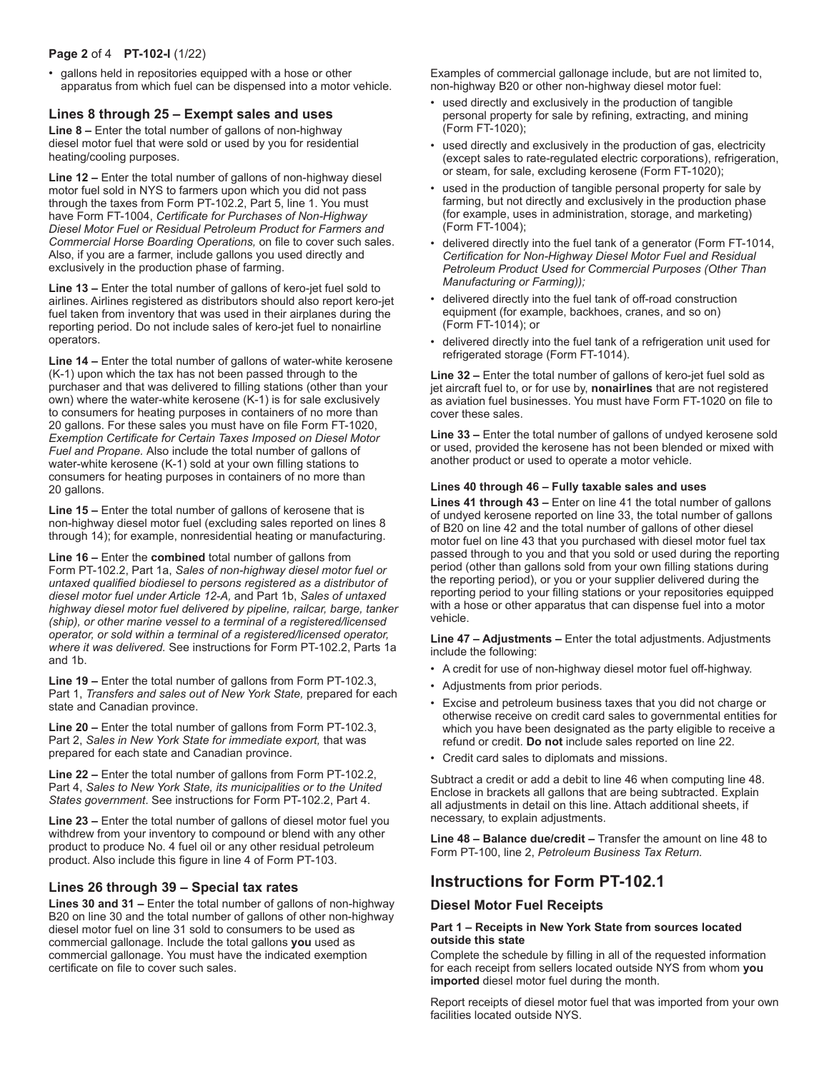## **Page 2** of 4 **PT-102-I** (1/22)

• gallons held in repositories equipped with a hose or other apparatus from which fuel can be dispensed into a motor vehicle.

## **Lines 8 through 25 – Exempt sales and uses**

**Line 8 –** Enter the total number of gallons of non-highway diesel motor fuel that were sold or used by you for residential heating/cooling purposes.

**Line 12 –** Enter the total number of gallons of non-highway diesel motor fuel sold in NYS to farmers upon which you did not pass through the taxes from Form PT-102.2, Part 5, line 1. You must have Form FT-1004, *Certificate for Purchases of Non-Highway Diesel Motor Fuel or Residual Petroleum Product for Farmers and Commercial Horse Boarding Operations,* on file to cover such sales. Also, if you are a farmer, include gallons you used directly and exclusively in the production phase of farming.

**Line 13 –** Enter the total number of gallons of kero-jet fuel sold to airlines. Airlines registered as distributors should also report kero-jet fuel taken from inventory that was used in their airplanes during the reporting period. Do not include sales of kero-jet fuel to nonairline operators.

**Line 14 –** Enter the total number of gallons of water-white kerosene (K-1) upon which the tax has not been passed through to the purchaser and that was delivered to filling stations (other than your own) where the water-white kerosene (K-1) is for sale exclusively to consumers for heating purposes in containers of no more than 20 gallons. For these sales you must have on file Form FT-1020, *Exemption Certificate for Certain Taxes Imposed on Diesel Motor Fuel and Propane.* Also include the total number of gallons of water-white kerosene (K-1) sold at your own filling stations to consumers for heating purposes in containers of no more than 20 gallons.

**Line 15 –** Enter the total number of gallons of kerosene that is non-highway diesel motor fuel (excluding sales reported on lines 8 through 14); for example, nonresidential heating or manufacturing.

**Line 16 –** Enter the **combined** total number of gallons from Form PT-102.2, Part 1a, *Sales of non-highway diesel motor fuel or untaxed qualified biodiesel to persons registered as a distributor of diesel motor fuel under Article 12-A,* and Part 1b, *Sales of untaxed highway diesel motor fuel delivered by pipeline, railcar, barge, tanker (ship), or other marine vessel to a terminal of a registered/licensed operator, or sold within a terminal of a registered/licensed operator, where it was delivered.* See instructions for Form PT-102.2, Parts 1a and 1b.

**Line 19 –** Enter the total number of gallons from Form PT-102.3, Part 1, *Transfers and sales out of New York State,* prepared for each state and Canadian province.

**Line 20 –** Enter the total number of gallons from Form PT-102.3, Part 2, *Sales in New York State for immediate export,* that was prepared for each state and Canadian province.

**Line 22 –** Enter the total number of gallons from Form PT-102.2, Part 4, *Sales to New York State, its municipalities or to the United States government*. See instructions for Form PT-102.2, Part 4.

**Line 23 –** Enter the total number of gallons of diesel motor fuel you withdrew from your inventory to compound or blend with any other product to produce No. 4 fuel oil or any other residual petroleum product. Also include this figure in line 4 of Form PT-103.

## **Lines 26 through 39 – Special tax rates**

**Lines 30 and 31 – Enter the total number of gallons of non-highway** B20 on line 30 and the total number of gallons of other non-highway diesel motor fuel on line 31 sold to consumers to be used as commercial gallonage. Include the total gallons **you** used as commercial gallonage. You must have the indicated exemption certificate on file to cover such sales.

Examples of commercial gallonage include, but are not limited to, non-highway B20 or other non-highway diesel motor fuel:

- used directly and exclusively in the production of tangible personal property for sale by refining, extracting, and mining (Form FT-1020);
- used directly and exclusively in the production of gas, electricity (except sales to rate-regulated electric corporations), refrigeration, or steam, for sale, excluding kerosene (Form FT-1020);
- used in the production of tangible personal property for sale by farming, but not directly and exclusively in the production phase (for example, uses in administration, storage, and marketing) (Form FT-1004);
- delivered directly into the fuel tank of a generator (Form FT-1014, *Certification for Non-Highway Diesel Motor Fuel and Residual Petroleum Product Used for Commercial Purposes (Other Than Manufacturing or Farming));*
- delivered directly into the fuel tank of off-road construction equipment (for example, backhoes, cranes, and so on) (Form FT-1014); or
- delivered directly into the fuel tank of a refrigeration unit used for refrigerated storage (Form FT-1014).

**Line 32 –** Enter the total number of gallons of kero-jet fuel sold as jet aircraft fuel to, or for use by, **nonairlines** that are not registered as aviation fuel businesses. You must have Form FT-1020 on file to cover these sales.

**Line 33 –** Enter the total number of gallons of undyed kerosene sold or used, provided the kerosene has not been blended or mixed with another product or used to operate a motor vehicle.

#### **Lines 40 through 46 – Fully taxable sales and uses**

**Lines 41 through 43 –** Enter on line 41 the total number of gallons of undyed kerosene reported on line 33, the total number of gallons of B20 on line 42 and the total number of gallons of other diesel motor fuel on line 43 that you purchased with diesel motor fuel tax passed through to you and that you sold or used during the reporting period (other than gallons sold from your own filling stations during the reporting period), or you or your supplier delivered during the reporting period to your filling stations or your repositories equipped with a hose or other apparatus that can dispense fuel into a motor vehicle.

**Line 47 – Adjustments –** Enter the total adjustments. Adjustments include the following:

- A credit for use of non-highway diesel motor fuel off-highway.
- Adjustments from prior periods.
- Excise and petroleum business taxes that you did not charge or otherwise receive on credit card sales to governmental entities for which you have been designated as the party eligible to receive a refund or credit. **Do not** include sales reported on line 22.
- Credit card sales to diplomats and missions.

Subtract a credit or add a debit to line 46 when computing line 48. Enclose in brackets all gallons that are being subtracted. Explain all adjustments in detail on this line. Attach additional sheets, if necessary, to explain adjustments.

**Line 48 – Balance due/credit –** Transfer the amount on line 48 to Form PT-100, line 2, *Petroleum Business Tax Return.*

# **Instructions for Form PT-102.1**

## **Diesel Motor Fuel Receipts**

### **Part 1 – Receipts in New York State from sources located outside this state**

Complete the schedule by filling in all of the requested information for each receipt from sellers located outside NYS from whom **you imported** diesel motor fuel during the month.

Report receipts of diesel motor fuel that was imported from your own facilities located outside NYS.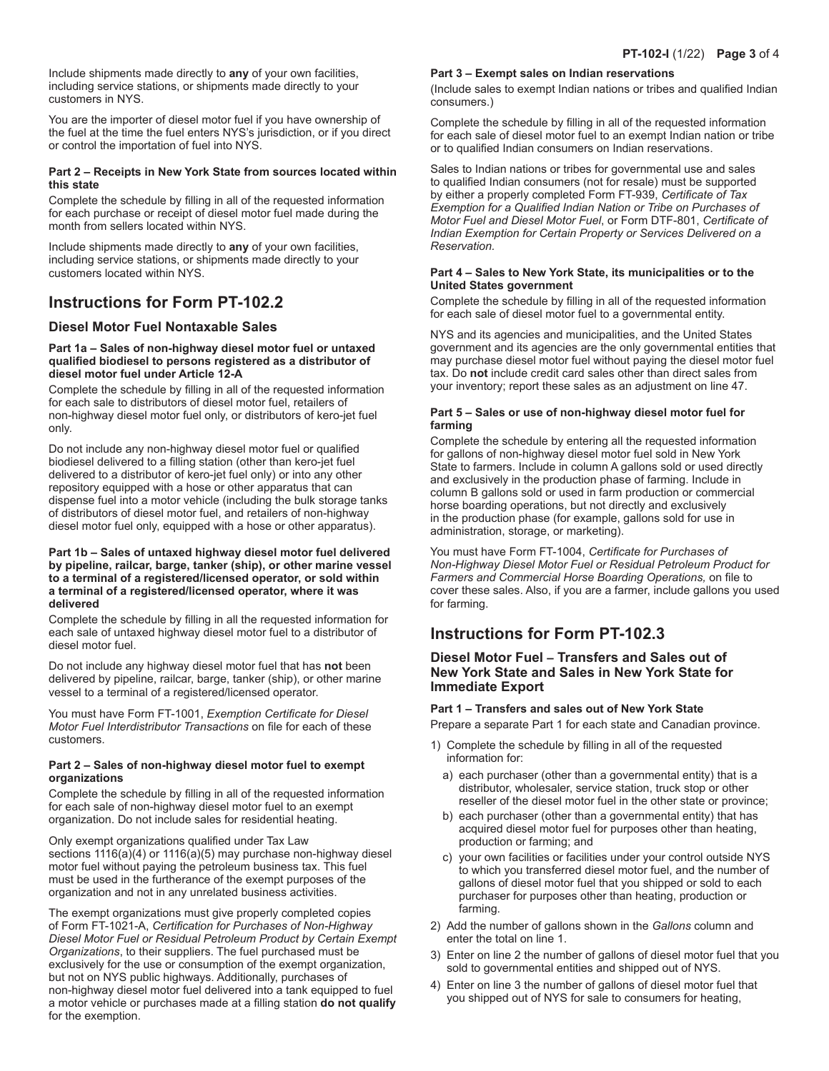Include shipments made directly to **any** of your own facilities, including service stations, or shipments made directly to your customers in NYS.

You are the importer of diesel motor fuel if you have ownership of the fuel at the time the fuel enters NYS's jurisdiction, or if you direct or control the importation of fuel into NYS.

#### **Part 2 – Receipts in New York State from sources located within this state**

Complete the schedule by filling in all of the requested information for each purchase or receipt of diesel motor fuel made during the month from sellers located within NYS.

Include shipments made directly to **any** of your own facilities, including service stations, or shipments made directly to your customers located within NYS.

# **Instructions for Form PT-102.2**

## **Diesel Motor Fuel Nontaxable Sales**

#### **Part 1a – Sales of non-highway diesel motor fuel or untaxed qualified biodiesel to persons registered as a distributor of diesel motor fuel under Article 12-A**

Complete the schedule by filling in all of the requested information for each sale to distributors of diesel motor fuel, retailers of non-highway diesel motor fuel only, or distributors of kero-jet fuel only.

Do not include any non-highway diesel motor fuel or qualified biodiesel delivered to a filling station (other than kero-jet fuel delivered to a distributor of kero-jet fuel only) or into any other repository equipped with a hose or other apparatus that can dispense fuel into a motor vehicle (including the bulk storage tanks of distributors of diesel motor fuel, and retailers of non-highway diesel motor fuel only, equipped with a hose or other apparatus).

#### **Part 1b – Sales of untaxed highway diesel motor fuel delivered by pipeline, railcar, barge, tanker (ship), or other marine vessel to a terminal of a registered/licensed operator, or sold within a terminal of a registered/licensed operator, where it was delivered**

Complete the schedule by filling in all the requested information for each sale of untaxed highway diesel motor fuel to a distributor of diesel motor fuel.

Do not include any highway diesel motor fuel that has **not** been delivered by pipeline, railcar, barge, tanker (ship), or other marine vessel to a terminal of a registered/licensed operator.

You must have Form FT-1001, *Exemption Certificate for Diesel Motor Fuel Interdistributor Transactions* on file for each of these customers.

### **Part 2 – Sales of non-highway diesel motor fuel to exempt organizations**

Complete the schedule by filling in all of the requested information for each sale of non-highway diesel motor fuel to an exempt organization. Do not include sales for residential heating.

Only exempt organizations qualified under Tax Law sections 1116(a)(4) or 1116(a)(5) may purchase non-highway diesel motor fuel without paying the petroleum business tax. This fuel must be used in the furtherance of the exempt purposes of the organization and not in any unrelated business activities.

The exempt organizations must give properly completed copies of Form FT-1021-A, *Certification for Purchases of Non-Highway Diesel Motor Fuel or Residual Petroleum Product by Certain Exempt Organizations*, to their suppliers. The fuel purchased must be exclusively for the use or consumption of the exempt organization, but not on NYS public highways. Additionally, purchases of non-highway diesel motor fuel delivered into a tank equipped to fuel a motor vehicle or purchases made at a filling station **do not qualify**  for the exemption.

#### **Part 3 – Exempt sales on Indian reservations**

(Include sales to exempt Indian nations or tribes and qualified Indian consumers.)

Complete the schedule by filling in all of the requested information for each sale of diesel motor fuel to an exempt Indian nation or tribe or to qualified Indian consumers on Indian reservations.

Sales to Indian nations or tribes for governmental use and sales to qualified Indian consumers (not for resale) must be supported by either a properly completed Form FT-939, *Certificate of Tax Exemption for a Qualified Indian Nation or Tribe on Purchases of Motor Fuel and Diesel Motor Fuel*, or Form DTF-801, *Certificate of Indian Exemption for Certain Property or Services Delivered on a Reservation.*

#### **Part 4 – Sales to New York State, its municipalities or to the United States government**

Complete the schedule by filling in all of the requested information for each sale of diesel motor fuel to a governmental entity.

NYS and its agencies and municipalities, and the United States government and its agencies are the only governmental entities that may purchase diesel motor fuel without paying the diesel motor fuel tax. Do **not** include credit card sales other than direct sales from your inventory; report these sales as an adjustment on line 47.

### **Part 5 – Sales or use of non-highway diesel motor fuel for farming**

Complete the schedule by entering all the requested information for gallons of non-highway diesel motor fuel sold in New York State to farmers. Include in column A gallons sold or used directly and exclusively in the production phase of farming. Include in column B gallons sold or used in farm production or commercial horse boarding operations, but not directly and exclusively in the production phase (for example, gallons sold for use in administration, storage, or marketing).

You must have Form FT-1004, *Certificate for Purchases of Non-Highway Diesel Motor Fuel or Residual Petroleum Product for Farmers and Commercial Horse Boarding Operations,* on file to cover these sales. Also, if you are a farmer, include gallons you used for farming.

# **Instructions for Form PT-102.3**

## **Diesel Motor Fuel – Transfers and Sales out of New York State and Sales in New York State for Immediate Export**

## **Part 1 – Transfers and sales out of New York State**

Prepare a separate Part 1 for each state and Canadian province.

- 1) Complete the schedule by filling in all of the requested information for:
	- a) each purchaser (other than a governmental entity) that is a distributor, wholesaler, service station, truck stop or other reseller of the diesel motor fuel in the other state or province;
	- b) each purchaser (other than a governmental entity) that has acquired diesel motor fuel for purposes other than heating, production or farming; and
	- c) your own facilities or facilities under your control outside NYS to which you transferred diesel motor fuel, and the number of gallons of diesel motor fuel that you shipped or sold to each purchaser for purposes other than heating, production or farming.
- 2) Add the number of gallons shown in the *Gallons* column and enter the total on line 1.
- 3) Enter on line 2 the number of gallons of diesel motor fuel that you sold to governmental entities and shipped out of NYS.
- 4) Enter on line 3 the number of gallons of diesel motor fuel that you shipped out of NYS for sale to consumers for heating,